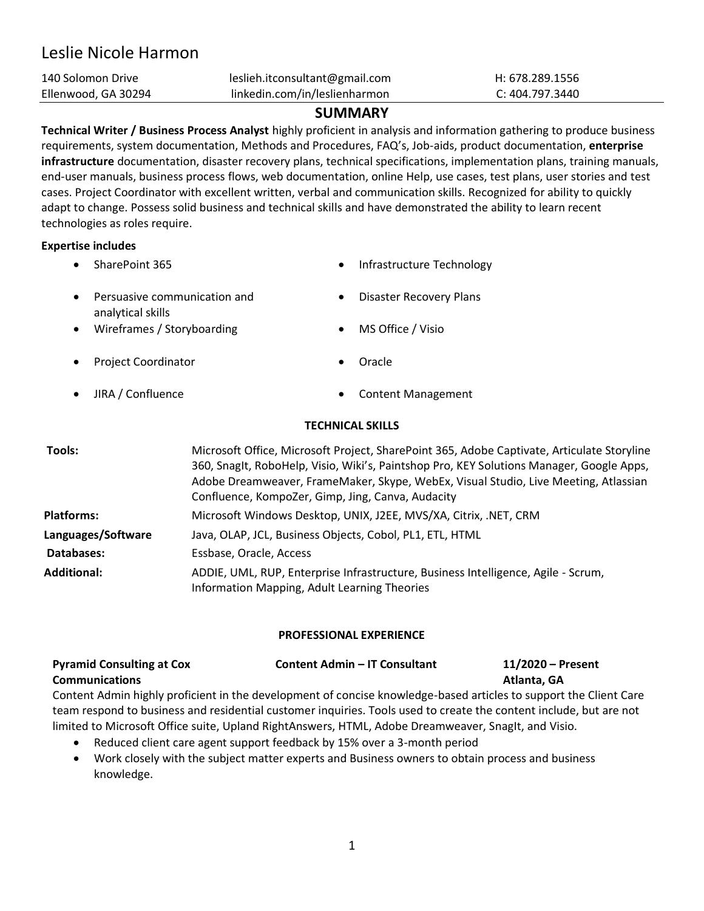# Leslie Nicole Harmon

| 140 Solomon Drive   | leslieh.itconsultant@gmail.com | H: 678.289.1556 |
|---------------------|--------------------------------|-----------------|
| Ellenwood, GA 30294 | linkedin.com/in/leslienharmon  | C: 404.797.3440 |

# **SUMMARY**

**Technical Writer / Business Process Analyst** highly proficient in analysis and information gathering to produce business requirements, system documentation, Methods and Procedures, FAQ's, Job-aids, product documentation, **enterprise infrastructure** documentation, disaster recovery plans, technical specifications, implementation plans, training manuals, end-user manuals, business process flows, web documentation, online Help, use cases, test plans, user stories and test cases. Project Coordinator with excellent written, verbal and communication skills. Recognized for ability to quickly adapt to change. Possess solid business and technical skills and have demonstrated the ability to learn recent technologies as roles require.

## **Expertise includes**

- 
- SharePoint 365 Infrastructure Technology
- Persuasive communication and analytical skills
- Disaster Recovery Plans
- Wireframes / Storyboarding MS Office / Visio
- **Project Coordinator Oracle**
- 

- 
- JIRA / Confluence Content Management

## **TECHNICAL SKILLS**

| Tools:             | Microsoft Office, Microsoft Project, SharePoint 365, Adobe Captivate, Articulate Storyline<br>360, Snaglt, RoboHelp, Visio, Wiki's, Paintshop Pro, KEY Solutions Manager, Google Apps,<br>Adobe Dreamweaver, FrameMaker, Skype, WebEx, Visual Studio, Live Meeting, Atlassian<br>Confluence, KompoZer, Gimp, Jing, Canva, Audacity |
|--------------------|------------------------------------------------------------------------------------------------------------------------------------------------------------------------------------------------------------------------------------------------------------------------------------------------------------------------------------|
| <b>Platforms:</b>  | Microsoft Windows Desktop, UNIX, J2EE, MVS/XA, Citrix, .NET, CRM                                                                                                                                                                                                                                                                   |
| Languages/Software | Java, OLAP, JCL, Business Objects, Cobol, PL1, ETL, HTML                                                                                                                                                                                                                                                                           |
| Databases:         | Essbase, Oracle, Access                                                                                                                                                                                                                                                                                                            |
| <b>Additional:</b> | ADDIE, UML, RUP, Enterprise Infrastructure, Business Intelligence, Agile - Scrum,<br>Information Mapping, Adult Learning Theories                                                                                                                                                                                                  |

## **PROFESSIONAL EXPERIENCE**

| <b>Pyramid Consulting at Cox</b> | <b>Content Admin – IT Consultant</b> | 11/2020 – Present |
|----------------------------------|--------------------------------------|-------------------|
| <b>Communications</b>            |                                      | Atlanta, GA       |

Content Admin highly proficient in the development of concise knowledge-based articles to support the Client Care team respond to business and residential customer inquiries. Tools used to create the content include, but are not limited to Microsoft Office suite, Upland RightAnswers, HTML, Adobe Dreamweaver, SnagIt, and Visio.

- Reduced client care agent support feedback by 15% over a 3-month period
- Work closely with the subject matter experts and Business owners to obtain process and business knowledge.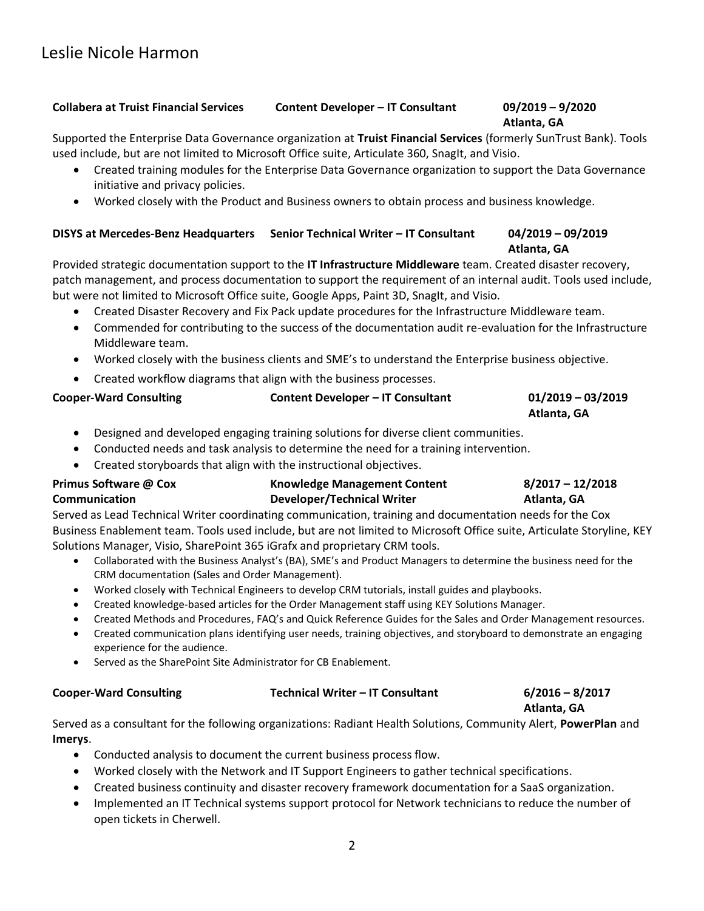## **Collabera at Truist Financial Services Content Developer – IT Consultant 09/2019 – 9/2020**

## **Atlanta, GA**

Supported the Enterprise Data Governance organization at **Truist Financial Services** (formerly SunTrust Bank). Tools used include, but are not limited to Microsoft Office suite, Articulate 360, SnagIt, and Visio.

- Created training modules for the Enterprise Data Governance organization to support the Data Governance initiative and privacy policies.
- Worked closely with the Product and Business owners to obtain process and business knowledge.

## **DISYS at Mercedes-Benz Headquarters Senior Technical Writer – IT Consultant 04/2019 – 09/2019 Atlanta, GA**

Provided strategic documentation support to the **IT Infrastructure Middleware** team. Created disaster recovery, patch management, and process documentation to support the requirement of an internal audit. Tools used include, but were not limited to Microsoft Office suite, Google Apps, Paint 3D, SnagIt, and Visio.

- Created Disaster Recovery and Fix Pack update procedures for the Infrastructure Middleware team.
- Commended for contributing to the success of the documentation audit re-evaluation for the Infrastructure Middleware team.
- Worked closely with the business clients and SME's to understand the Enterprise business objective.
- Created workflow diagrams that align with the business processes.

## **Cooper-Ward Consulting Content Developer – IT Consultant 01/2019 – 03/2019**

## **Atlanta, GA**

- Designed and developed engaging training solutions for diverse client communities.
- Conducted needs and task analysis to determine the need for a training intervention.
- Created storyboards that align with the instructional objectives.

### **Primus Software @ Cox Communication Knowledge Management Content Developer/Technical Writer 8/2017 – 12/2018 Atlanta, GA**

Served as Lead Technical Writer coordinating communication, training and documentation needs for the Cox Business Enablement team. Tools used include, but are not limited to Microsoft Office suite, Articulate Storyline, KEY Solutions Manager, Visio, SharePoint 365 iGrafx and proprietary CRM tools.

- Collaborated with the Business Analyst's (BA), SME's and Product Managers to determine the business need for the CRM documentation (Sales and Order Management).
- Worked closely with Technical Engineers to develop CRM tutorials, install guides and playbooks.
- Created knowledge-based articles for the Order Management staff using KEY Solutions Manager.
- Created Methods and Procedures, FAQ's and Quick Reference Guides for the Sales and Order Management resources.
- Created communication plans identifying user needs, training objectives, and storyboard to demonstrate an engaging experience for the audience.
- Served as the SharePoint Site Administrator for CB Enablement.

## **Cooper-Ward Consulting Technical Writer – IT Consultant 6/2016 – 8/2017**

# **Atlanta, GA**

Served as a consultant for the following organizations: Radiant Health Solutions, Community Alert, **PowerPlan** and **Imerys**.

- Conducted analysis to document the current business process flow.
- Worked closely with the Network and IT Support Engineers to gather technical specifications.
- Created business continuity and disaster recovery framework documentation for a SaaS organization.
- Implemented an IT Technical systems support protocol for Network technicians to reduce the number of open tickets in Cherwell.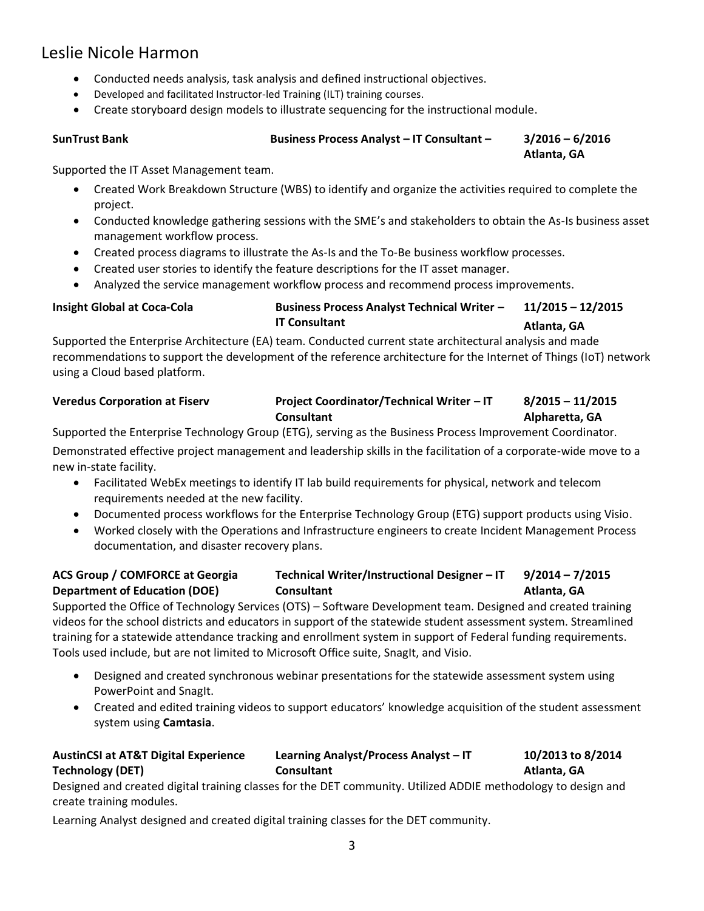# Leslie Nicole Harmon

- Conducted needs analysis, task analysis and defined instructional objectives.
- Developed and facilitated Instructor-led Training (ILT) training courses.
- Create storyboard design models to illustrate sequencing for the instructional module.

## **SunTrust Bank Business Process Analyst – IT Consultant – 3/2016 – 6/2016**

**Atlanta, GA**

Supported the IT Asset Management team.

- Created Work Breakdown Structure (WBS) to identify and organize the activities required to complete the project.
- Conducted knowledge gathering sessions with the SME's and stakeholders to obtain the As-Is business asset management workflow process.
- Created process diagrams to illustrate the As-Is and the To-Be business workflow processes.
- Created user stories to identify the feature descriptions for the IT asset manager.
- Analyzed the service management workflow process and recommend process improvements.

### **Insight Global at Coca-Cola Business Process Analyst Technical Writer – IT Consultant 11/2015 – 12/2015 Atlanta, GA**

Supported the Enterprise Architecture (EA) team. Conducted current state architectural analysis and made recommendations to support the development of the reference architecture for the Internet of Things (IoT) network using a Cloud based platform.

## **Veredus Corporation at Fiserv Project Coordinator/Technical Writer – IT Consultant 8/2015 – 11/2015 Alpharetta, GA**

Supported the Enterprise Technology Group (ETG), serving as the Business Process Improvement Coordinator. Demonstrated effective project management and leadership skills in the facilitation of a corporate-wide move to a

new in-state facility.

- Facilitated WebEx meetings to identify IT lab build requirements for physical, network and telecom requirements needed at the new facility.
- Documented process workflows for the Enterprise Technology Group (ETG) support products using Visio.
- Worked closely with the Operations and Infrastructure engineers to create Incident Management Process documentation, and disaster recovery plans.

### **ACS Group / COMFORCE at Georgia Department of Education (DOE) Technical Writer/Instructional Designer – IT Consultant 9/2014 – 7/2015 Atlanta, GA**

Supported the Office of Technology Services (OTS) – Software Development team. Designed and created training videos for the school districts and educators in support of the statewide student assessment system. Streamlined training for a statewide attendance tracking and enrollment system in support of Federal funding requirements. Tools used include, but are not limited to Microsoft Office suite, SnagIt, and Visio.

- Designed and created synchronous webinar presentations for the statewide assessment system using PowerPoint and SnagIt.
- Created and edited training videos to support educators' knowledge acquisition of the student assessment system using **Camtasia**.

### **AustinCSI at AT&T Digital Experience Technology (DET) Learning Analyst/Process Analyst – IT Consultant 10/2013 to 8/2014 Atlanta, GA**

Designed and created digital training classes for the DET community. Utilized ADDIE methodology to design and create training modules.

Learning Analyst designed and created digital training classes for the DET community.